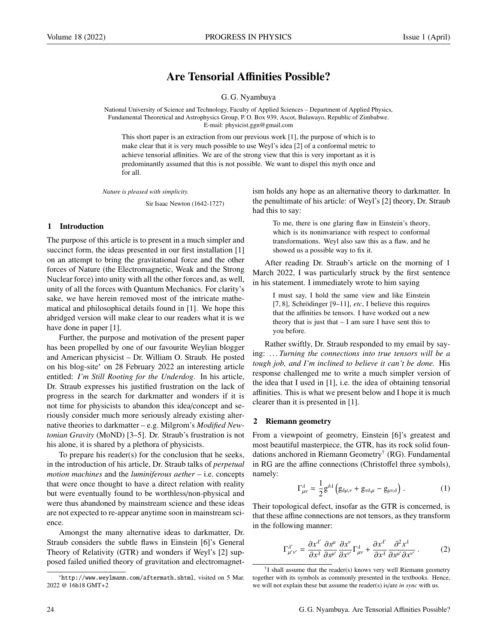# Are Tensorial Affinities Possible?

G. G. Nyambuya

National University of Science and Technology, Faculty of Applied Sciences – Department of Applied Physics, Fundamental Theoretical and Astrophysics Group, P. O. Box 939, Ascot, Bulawayo, Republic of Zimbabwe. E-mail: physicist.ggn@gmail.com

This short paper is an extraction from our previous work [1], the purpose of which is to make clear that it is very much possible to use Weyl's idea [2] of a conformal metric to achieve tensorial affinities. We are of the strong view that this is very important as it is predominantly assumed that this is not possible. We want to dispel this myth once and for all.

*Nature is pleased with simplicity.*

Sir Isaac Newton (1642-1727)

# 1 Introduction

The purpose of this article is to present in a much simpler and succinct form, the ideas presented in our first installation [1] on an attempt to bring the gravitational force and the other forces of Nature (the Electromagnetic, Weak and the Strong Nuclear force) into unity with all the other forces and, as well, unity of all the forces with Quantum Mechanics. For clarity's sake, we have herein removed most of the intricate mathematical and philosophical details found in [1]. We hope this abridged version will make clear to our readers what it is we have done in paper [1].

Further, the purpose and motivation of the present paper has been propelled by one of our favourite Weylian blogger and American physicist – Dr. William O. Straub. He posted on his blog-site<sup>∗</sup> on 28 February 2022 an interesting article entitled: *I'm Still Rooting for the Underdog*. In his article, Dr. Straub expresses his justified frustration on the lack of progress in the search for darkmatter and wonders if it is not time for physicists to abandon this idea/concept and seriously consider much more seriously already existing alternative theories to darkmatter – e.g. Milgrom's *Modified Newtonian Gravity* (MoND) [3–5]. Dr. Straub's frustration is not his alone, it is shared by a plethora of physicists.

To prepare his reader(s) for the conclusion that he seeks, in the introduction of his article, Dr. Straub talks of *perpetual motion machines* and the *luminiferous aether* – i.e. concepts that were once thought to have a direct relation with reality but were eventually found to be worthless/non-physical and were thus abandoned by mainstream science and these ideas are not expected to re-appear anytime soon in mainstream science.

Amongst the many alternative ideas to darkmatter, Dr. Straub considers the subtle flaws in Einstein [6]'s General Theory of Relativity (GTR) and wonders if Weyl's [2] supposed failed unified theory of gravitation and electromagnetism holds any hope as an alternative theory to darkmatter. In the penultimate of his article: of Weyl's [2] theory, Dr. Straub had this to say:

> To me, there is one glaring flaw in Einstein's theory, which is its noninvariance with respect to conformal transformations. Weyl also saw this as a flaw, and he showed us a possible way to fix it.

After reading Dr. Straub's article on the morning of 1 March 2022, I was particularly struck by the first sentence in his statement. I immediately wrote to him saying

> I must say, I hold the same view and like Einstein [7, 8], Schrödinger [9–11],  $etc$ , I believe this requires that the affinities be tensors. I have worked out a new theory that is just that  $- I$  am sure I have sent this to you before.

Rather swiftly, Dr. Straub responded to my email by saying: *. . . Turning the connections into true tensors will be a tough job, and I'm inclined to believe it can't be done.* His response challenged me to write a much simpler version of the idea that I used in [1], i.e. the idea of obtaining tensorial affinities. This is what we present below and I hope it is much clearer than it is presented in [1].

## 2 Riemann geometry

From a viewpoint of geometry, Einstein [6]'s greatest and most beautiful masterpiece, the GTR, has its rock solid foundations anchored in Riemann Geometry† (RG). Fundamental in RG are the affine connections (Christoffel three symbols), namely:

$$
\Gamma^{\lambda}_{\mu\nu} = \frac{1}{2} g^{\delta\lambda} \left( g_{\delta\mu,\nu} + g_{\nu\delta,\mu} - g_{\mu\nu,\delta} \right). \tag{1}
$$

Their topological defect, insofar as the GTR is concerned, is that these affine connections are not tensors, as they transform in the following manner:

$$
\Gamma^{\lambda'}_{\mu'\nu'} = \frac{\partial x^{\lambda'}}{\partial x^{\lambda}} \frac{\partial x^{\mu}}{\partial x^{\mu'}} \frac{\partial x^{\nu}}{\partial x^{\nu'}} \Gamma^{\lambda}_{\mu\nu} + \frac{\partial x^{\lambda'}}{\partial x^{\lambda}} \frac{\partial^2 x^{\lambda}}{\partial x^{\mu'} \partial x^{\nu'}}.
$$
 (2)

† I shall assume that the reader(s) knows very well Riemann geometry together with its symbols as commonly presented in the textbooks. Hence, we will not explain these but assume the reader(s) is/are *in sync* with us.

<sup>∗</sup>http://www.weylmann.com/aftermath.shtml, visited on 5 Mar. 2022 @ 16h18 GMT+2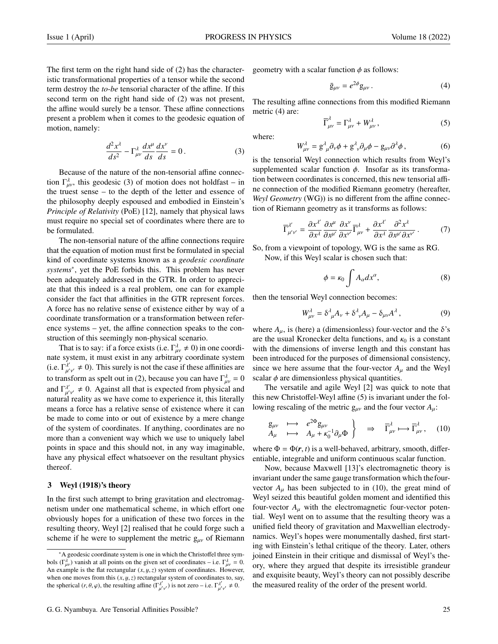The first term on the right hand side of (2) has the characteristic transformational properties of a tensor while the second term destroy the *to-be* tensorial character of the affine. If this second term on the right hand side of (2) was not present, the affine would surely be a tensor. These affine connections present a problem when it comes to the geodesic equation of motion, namely:

$$
\frac{d^2x^{\lambda}}{ds^2} - \Gamma^{\lambda}_{\mu\nu}\frac{dx^{\mu}}{ds}\frac{dx^{\nu}}{ds} = 0.
$$
 (3)

Because of the nature of the non-tensorial affine connection  $\Gamma_{\mu\nu}^{\lambda}$ , this geodesic (3) of motion does not holdfast – in the truest sense – to the depth of the letter and essence of the philosophy deeply espoused and embodied in Einstein's *Principle of Relativity* (PoE) [12], namely that physical laws must require no special set of coordinates where there are to be formulated.

The non-tensorial nature of the affine connections require that the equation of motion must first be formulated in special kind of coordinate systems known as a *geodesic coordinate systems*<sup>∗</sup> , yet the PoE forbids this. This problem has never been adequately addressed in the GTR. In order to appreciate that this indeed is a real problem, one can for example consider the fact that affinities in the GTR represent forces. A force has no relative sense of existence either by way of a coordinate transformation or a transformation between reference systems – yet, the affine connection speaks to the construction of this seemingly non-physical scenario.

That is to say: if a force exists (i.e.  $\Gamma_{\mu\nu}^{\lambda} \neq 0$ ) in one coordi-<br>the system it must exist in any arbitrary coordinate system nate system, it must exist in any arbitrary coordinate system (i.e.  $\Gamma^{\lambda'}_{\mu'\nu'} \neq 0$ ). This surely is not the case if these affinities are to transform as spelt out in (2), because you can have  $\Gamma_{\mu\nu}^{\lambda} = 0$ and  $\Gamma^{\lambda'}_{\mu'\nu'} \neq 0$ . Against all that is expected from physical and natural reality as we have come to experience it, this literally means a force has a relative sense of existence where it can be made to come into or out of existence by a mere change of the system of coordinates. If anything, coordinates are no more than a convenient way which we use to uniquely label points in space and this should not, in any way imaginable, have any physical effect whatsoever on the resultant physics thereof.

# 3 Weyl (1918)'s theory

In the first such attempt to bring gravitation and electromagnetism under one mathematical scheme, in which effort one obviously hopes for a unification of these two forces in the resulting theory, Weyl [2] realised that he could forge such a scheme if he were to supplement the metric  $g_{\mu\nu}$  of Riemann geometry with a scalar function  $\phi$  as follows:

$$
\bar{g}_{\mu\nu} = e^{2\phi} g_{\mu\nu} \,. \tag{4}
$$

The resulting affine connections from this modified Riemann metric (4) are:

$$
\overline{\Gamma}_{\mu\nu}^{\lambda} = \Gamma_{\mu\nu}^{\lambda} + W_{\mu\nu}^{\lambda}, \qquad (5)
$$

where:

$$
W_{\mu\nu}^{\lambda} = g_{\ \mu}^{\lambda} \partial_{\nu} \phi + g_{\ \nu}^{\lambda} \partial_{\mu} \phi - g_{\mu\nu} \partial^{\lambda} \phi \,, \tag{6}
$$

is the tensorial Weyl connection which results from Weyl's supplemented scalar function  $\phi$ . Insofar as its transformation between coordinates is concerned, this new tensorial affine connection of the modified Riemann geometry (hereafter, *Weyl Geometry* (WG)) is no different from the affine connection of Riemann geometry as it transforms as follows:

$$
\overline{\Gamma}^{\lambda'}_{\mu'\nu'} = \frac{\partial x^{\lambda'}}{\partial x^{\lambda}} \frac{\partial x^{\mu}}{\partial x^{\mu'}} \frac{\partial x^{\nu}}{\partial x^{\nu'}} \overline{\Gamma}^{\lambda}_{\mu\nu} + \frac{\partial x^{\lambda'}}{\partial x^{\lambda}} \frac{\partial^2 x^{\lambda}}{\partial x^{\mu'} \partial x^{\nu'}}.
$$
(7)

So, from a viewpoint of topology, WG is the same as RG.

Now, if this Weyl scalar is chosen such that:

$$
\phi = \kappa_0 \int A_\alpha dx^\alpha, \tag{8}
$$

then the tensorial Weyl connection becomes:

$$
W_{\mu\nu}^{\lambda} = \delta^{\lambda}_{\ \mu} A_{\nu} + \delta^{\lambda}_{\ \nu} A_{\mu} - \delta_{\mu\nu} A^{\lambda} \,, \tag{9}
$$

where  $A_{\mu}$ , is (here) a (dimensionless) four-vector and the  $\delta$ 's are the usual Kronecker delta functions, and  $\kappa_0$  is a constant with the dimensions of inverse length and this constant has been introduced for the purposes of dimensional consistency, since we here assume that the four-vector  $A<sub>u</sub>$  and the Weyl scalar  $\phi$  are dimensionless physical quantities.

The versatile and agile Weyl [2] was quick to note that this new Christoffel-Weyl affine (5) is invariant under the following rescaling of the metric  $g_{\mu\nu}$  and the four vector  $A_{\mu}$ :

$$
\mathbf{g}_{\mu\nu} \quad \longrightarrow \quad e^{2\Phi} \mathbf{g}_{\mu\nu} \nA_{\mu} + \kappa_0^{-1} \partial_{\mu} \Phi \quad \Rightarrow \quad \overline{\Gamma}^{\lambda}_{\mu\nu} \longmapsto \overline{\Gamma}^{\lambda}_{\mu\nu}, \quad (10)
$$

where  $\Phi = \Phi(r, t)$  is a well-behaved, arbitrary, smooth, differentiable, integrable and uniform continuous scalar function.

Now, because Maxwell [13]'s electromagnetic theory is invariant under the same gauge transformation which the fourvector  $A_{\mu}$  has been subjected to in (10), the great mind of Weyl seized this beautiful golden moment and identified this four-vector  $A_\mu$  with the electromagnetic four-vector potential. Weyl went on to assume that the resulting theory was a unified field theory of gravitation and Maxwellian electrodynamics. Weyl's hopes were monumentally dashed, first starting with Einstein's lethal critique of the theory. Later, others joined Einstein in their critique and dismissal of Weyl's theory, where they argued that despite its irresistible grandeur and exquisite beauty, Weyl's theory can not possibly describe the measured reality of the order of the present world.

<sup>∗</sup>A geodesic coordinate system is one in which the Christoffel three symbols  $(\Gamma_{\mu\nu}^d)$  vanish at all points on the given set of coordinates – i.e.  $\Gamma_{\mu\nu}^d = 0$ .<br>An example is the flat rectangular  $(\gamma, \mu, \tau)$  system of coordinates. However An example is the flat rectangular (*x*, y,*z*) system of coordinates. However, when one moves from this  $(x, y, z)$  rectangular system of coordinates to, say, the spherical  $(r, \theta, \varphi)$  the resulting affine  $(\Gamma^{\lambda'}_1)$  is not zero  $-\mathbf{i} e^{-\Gamma^{\lambda'}_1} \neq 0$ the spherical  $(r, \theta, \varphi)$ , the resulting affine  $(\Gamma_{\mu'}^{\lambda'}$  $\frac{\partial^2 u}{\partial u^{\prime} v^{\prime}}$  is not zero – i.e.  $\Gamma_{\mu}^{\lambda'}$  $u'_{\mu'\nu'}\neq 0.$